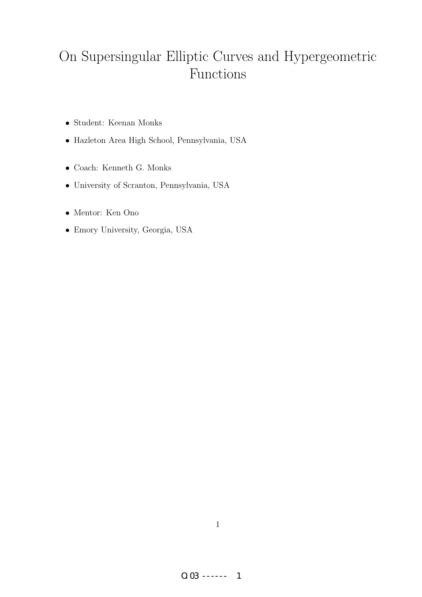# On Supersingular Elliptic Curves and Hypergeometric Functions

- Student: Keenan Monks
- Hazleton Area High School, Pennsylvania, USA
- Coach: Kenneth G. Monks
- University of Scranton, Pennsylvania, USA
- Mentor: Ken Ono
- Emory University, Georgia, USA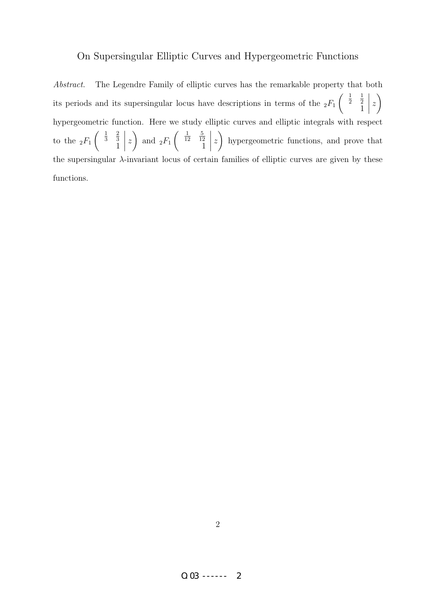#### On Supersingular Elliptic Curves and Hypergeometric Functions

Abstract. The Legendre Family of elliptic curves has the remarkable property that both its periods and its supersingular locus have descriptions in terms of the  $_2F_1$  $\begin{pmatrix} \frac{1}{2} \end{pmatrix}$ 1 2 1 z  $\setminus$ hypergeometric function. Here we study elliptic curves and elliptic integrals with respect to the  $_2F_1$  $\begin{pmatrix} \frac{1}{3} \end{pmatrix}$ 2 3 1 z  $\setminus$ and  $_2F_1$  $\begin{pmatrix} \frac{1}{12} \end{pmatrix}$ 5 12 1  $\begin{array}{c} \begin{array}{c} \begin{array}{c} \end{array} \\ \begin{array}{c} \end{array} \end{array} \end{array}$ z  $\setminus$ hypergeometric functions, and prove that the supersingular λ-invariant locus of certain families of elliptic curves are given by these functions.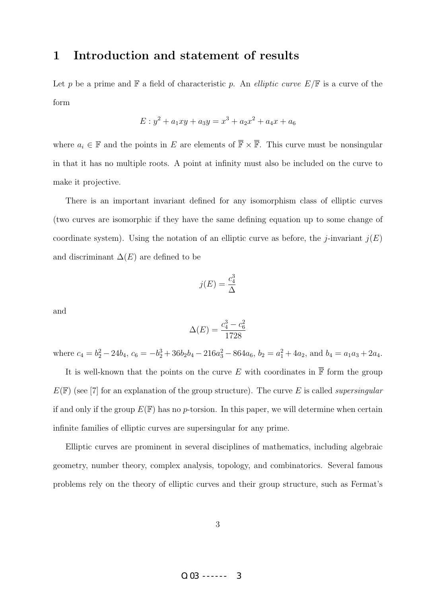## 1 Introduction and statement of results

Let p be a prime and  $\mathbb F$  a field of characteristic p. An *elliptic curve*  $E/\mathbb F$  is a curve of the form

$$
E: y^2 + a_1xy + a_3y = x^3 + a_2x^2 + a_4x + a_6
$$

where  $a_i \in \mathbb{F}$  and the points in E are elements of  $\overline{\mathbb{F}} \times \overline{\mathbb{F}}$ . This curve must be nonsingular in that it has no multiple roots. A point at infinity must also be included on the curve to make it projective.

There is an important invariant defined for any isomorphism class of elliptic curves (two curves are isomorphic if they have the same defining equation up to some change of coordinate system). Using the notation of an elliptic curve as before, the *j*-invariant  $j(E)$ and discriminant  $\Delta(E)$  are defined to be

$$
j(E) = \frac{c_4^3}{\Delta}
$$

and

$$
\Delta(E) = \frac{c_4^3 - c_6^2}{1728}
$$

where  $c_4 = b_2^2 - 24b_4$ ,  $c_6 = -b_2^3 + 36b_2b_4 - 216a_3^2 - 864a_6$ ,  $b_2 = a_1^2 + 4a_2$ , and  $b_4 = a_1a_3 + 2a_4$ .

It is well-known that the points on the curve E with coordinates in  $\overline{\mathbb{F}}$  form the group  $E(\mathbb{F})$  (see [7] for an explanation of the group structure). The curve E is called supersingular if and only if the group  $E(\mathbb{F})$  has no p-torsion. In this paper, we will determine when certain infinite families of elliptic curves are supersingular for any prime.

Elliptic curves are prominent in several disciplines of mathematics, including algebraic geometry, number theory, complex analysis, topology, and combinatorics. Several famous problems rely on the theory of elliptic curves and their group structure, such as Fermat's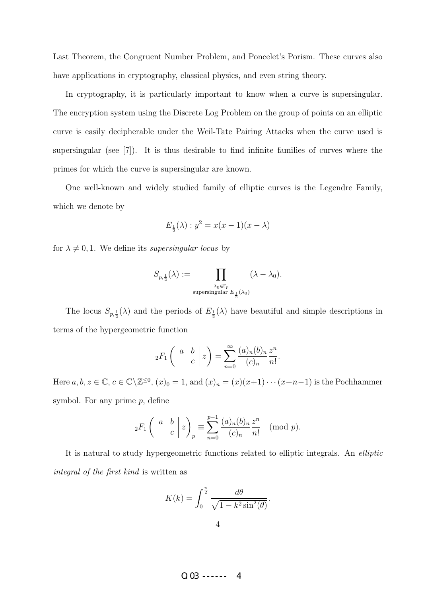Last Theorem, the Congruent Number Problem, and Poncelet's Porism. These curves also have applications in cryptography, classical physics, and even string theory.

In cryptography, it is particularly important to know when a curve is supersingular. The encryption system using the Discrete Log Problem on the group of points on an elliptic curve is easily decipherable under the Weil-Tate Pairing Attacks when the curve used is supersingular (see [7]). It is thus desirable to find infinite families of curves where the primes for which the curve is supersingular are known.

One well-known and widely studied family of elliptic curves is the Legendre Family, which we denote by

$$
E_{\frac{1}{2}}(\lambda): y^2 = x(x-1)(x-\lambda)
$$

for  $\lambda \neq 0, 1$ . We define its *supersingular locus* by

$$
S_{p,\frac{1}{2}}(\lambda):=\prod_{\stackrel{\lambda_0\in\overline{\mathbb{F}}_p}{\text{supersingular }E_{\frac{1}{2}}(\lambda_0)}}(\lambda-\lambda_0).
$$

The locus  $S_{p,\frac{1}{2}}(\lambda)$  and the periods of  $E_{\frac{1}{2}}(\lambda)$  have beautiful and simple descriptions in terms of the hypergeometric function

$$
{}_2F_1\left(\begin{array}{cc}a&b\\c\end{array}\bigg|z\right)=\sum_{n=0}^\infty\frac{(a)_n(b)_n}{(c)_n}\frac{z^n}{n!}.
$$

Here  $a, b, z \in \mathbb{C}, c \in \mathbb{C} \setminus \mathbb{Z}^{\leq 0}$ ,  $(x)_0 = 1$ , and  $(x)_n = (x)(x+1)\cdots(x+n-1)$  is the Pochhammer symbol. For any prime  $p$ , define

$$
{}_2F_1\left(\begin{array}{cc}a&b\\c\end{array}\bigg|z\right)_p\equiv\sum_{n=0}^{p-1}\frac{(a)_n(b)_n}{(c)_n}\frac{z^n}{n!}\pmod{p}.
$$

It is natural to study hypergeometric functions related to elliptic integrals. An elliptic integral of the first kind is written as

$$
K(k) = \int_0^{\frac{\pi}{2}} \frac{d\theta}{\sqrt{1 - k^2 \sin^2(\theta)}}.
$$

 $0.03$  ------ 4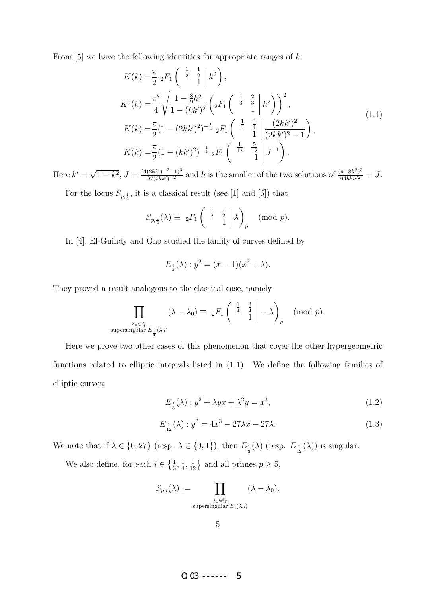From  $[5]$  we have the following identities for appropriate ranges of  $k$ :

$$
K(k) = \frac{\pi}{2} {}_{2}F_{1} \left( \begin{array}{c} \frac{1}{2} & \frac{1}{2} \\ 1 & k^{2} \end{array} \right),
$$
  
\n
$$
K^{2}(k) = \frac{\pi^{2}}{4} \sqrt{\frac{1 - \frac{8}{9}h^{2}}{1 - (kk')^{2}}} \left( {}_{2}F_{1} \left( \begin{array}{c} \frac{1}{3} & \frac{2}{3} \\ 1 & 1 \end{array} \Big| h^{2} \right) \right)^{2},
$$
  
\n
$$
K(k) = \frac{\pi}{2} (1 - (2kk')^{2})^{-\frac{1}{4}} {}_{2}F_{1} \left( \begin{array}{c} \frac{1}{4} & \frac{3}{4} \\ 1 & 1 \end{array} \Big| \frac{(2kk')^{2}}{(2kk')^{2} - 1} \right),
$$
  
\n
$$
K(k) = \frac{\pi}{2} (1 - (kk')^{2})^{-\frac{1}{4}} {}_{2}F_{1} \left( \begin{array}{c} \frac{1}{12} & \frac{5}{12} \\ 1 & 1 \end{array} \Big| J^{-1} \right).
$$
  
\n(1.1)

Here  $k' =$ √  $\overline{1-k^2}$ ,  $J = \frac{(4(2kk')^{-2}-1)^3}{27(2kk')^{-2}}$  and h is the smaller of the two solutions of  $\frac{(9-8h^2)^3}{64h^6h'^2} = J$ .

For the locus  $S_{p, \frac{1}{2}}$ , it is a classical result (see [1] and [6]) that

$$
S_{p,\frac{1}{2}}(\lambda) \equiv 2F_1\begin{pmatrix} \frac{1}{2} & \frac{1}{2} \\ 1 & 1 \end{pmatrix} \lambda_p \pmod{p}.
$$

In [4], El-Guindy and Ono studied the family of curves defined by

$$
E_{\frac{1}{4}}(\lambda) : y^2 = (x - 1)(x^2 + \lambda).
$$

They proved a result analogous to the classical case, namely

$$
\prod_{\substack{\lambda_0 \in \overline{\mathbb{F}}_p \\ \text{supersingular } E_{\frac{1}{4}}(\lambda_0)}} (\lambda - \lambda_0) \equiv \; _2F_1 \left( \begin{array}{cc} \frac{1}{4} & \frac{3}{4} \\ & 1 \end{array} \Big| - \lambda \right)_p \pmod{p}.
$$

Here we prove two other cases of this phenomenon that cover the other hypergeometric functions related to elliptic integrals listed in (1.1). We define the following families of elliptic curves:

$$
E_{\frac{1}{3}}(\lambda) : y^2 + \lambda y x + \lambda^2 y = x^3,
$$
\n(1.2)

$$
E_{\frac{1}{12}}(\lambda) : y^2 = 4x^3 - 27\lambda x - 27\lambda.
$$
 (1.3)

We note that if  $\lambda \in \{0, 27\}$  (resp.  $\lambda \in \{0, 1\}$ ), then  $E_{\frac{1}{3}}(\lambda)$  (resp.  $E_{\frac{1}{12}}(\lambda)$ ) is singular.

We also define, for each  $i \in \left\{\frac{1}{3}, \frac{1}{4}\right\}$  $\frac{1}{4}, \frac{1}{12}$  and all primes  $p \ge 5$ ,

$$
S_{p,i}(\lambda) := \prod_{\substack{\lambda_0 \in \overline{\mathbb{F}}_p \\ \text{supersingular } E_i(\lambda_0)}} (\lambda - \lambda_0).
$$

O.03 ------ 5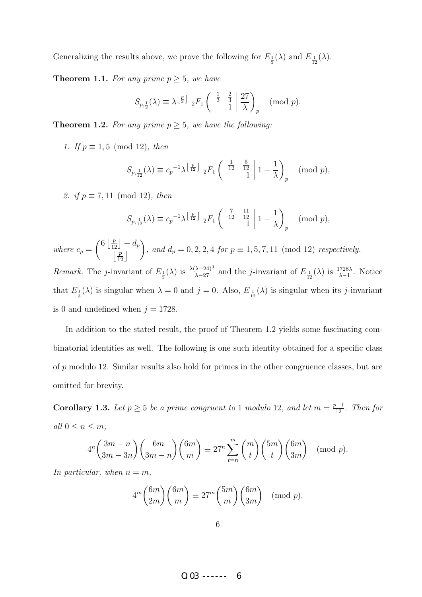Generalizing the results above, we prove the following for  $E_{\frac{1}{3}}(\lambda)$  and  $E_{\frac{1}{12}}(\lambda)$ .

**Theorem 1.1.** For any prime  $p \geq 5$ , we have

$$
S_{p,\frac{1}{3}}(\lambda) \equiv \lambda^{\left\lfloor \frac{p}{3} \right\rfloor} \; _2F_1\left( \begin{array}{cc} \frac{1}{3} & \frac{2}{3} \\ 1 & 1 \end{array} \middle| \frac{27}{\lambda} \right)_p \pmod{p}.
$$

**Theorem 1.2.** For any prime  $p \geq 5$ , we have the following:

1. If  $p \equiv 1, 5 \pmod{12}$ , then

$$
S_{p,\frac{1}{12}}(\lambda) \equiv c_p^{-1} \lambda^{\left\lfloor \frac{p}{12} \right\rfloor} \, _2F_1\left( \begin{array}{cc} \frac{1}{12} & \frac{5}{12} \\ 1 & 1 \end{array} \middle| 1 - \frac{1}{\lambda} \right)_p \pmod{p},
$$

2. if  $p \equiv 7, 11 \pmod{12}$ , then

$$
S_{p,\frac{1}{12}}(\lambda) \equiv c_p^{-1} \lambda^{\left\lfloor \frac{p}{12} \right\rfloor} \, _2F_1\left( \begin{array}{cc} \frac{7}{12} & \frac{11}{12} \\ 1 & 1 - \frac{1}{\lambda} \end{array} \right)_p \pmod{p},
$$

where  $c_p =$  $\left(6 \left\lfloor \frac{p}{12} \right\rfloor + d_p\right)$  $\left\lfloor\frac{p}{12}\right\rfloor$  $\setminus$ , and  $d_p = 0, 2, 2, 4$  for  $p \equiv 1, 5, 7, 11 \pmod{12}$  respectively.

*Remark.* The *j*-invariant of  $E_{\frac{1}{3}}(\lambda)$  is  $\frac{\lambda(\lambda-24)^3}{\lambda-27}$  and the *j*-invariant of  $E_{\frac{1}{12}}(\lambda)$  is  $\frac{1728\lambda}{\lambda-1}$ . Notice that  $E_{\frac{1}{3}}(\lambda)$  is singular when  $\lambda = 0$  and  $j = 0$ . Also,  $E_{\frac{1}{12}}(\lambda)$  is singular when its j-invariant is 0 and undefined when  $j = 1728$ .

In addition to the stated result, the proof of Theorem 1.2 yields some fascinating combinatorial identities as well. The following is one such identity obtained for a specific class of p modulo 12. Similar results also hold for primes in the other congruence classes, but are omitted for brevity.

**Corollary 1.3.** Let  $p \geq 5$  be a prime congruent to 1 modulo 12, and let  $m = \frac{p-1}{12}$ . Then for all  $0 \leq n \leq m$ ,

$$
4^n \binom{3m-n}{3m-3n} \binom{6m}{3m-n} \binom{6m}{m} \equiv 27^n \sum_{t=n}^m \binom{m}{t} \binom{5m}{t} \binom{6m}{3m} \pmod{p}.
$$

In particular, when  $n = m$ ,

$$
4^m \binom{6m}{2m} \binom{6m}{m} \equiv 27^m \binom{5m}{m} \binom{6m}{3m} \pmod{p}.
$$

 $0.03$  ------ 6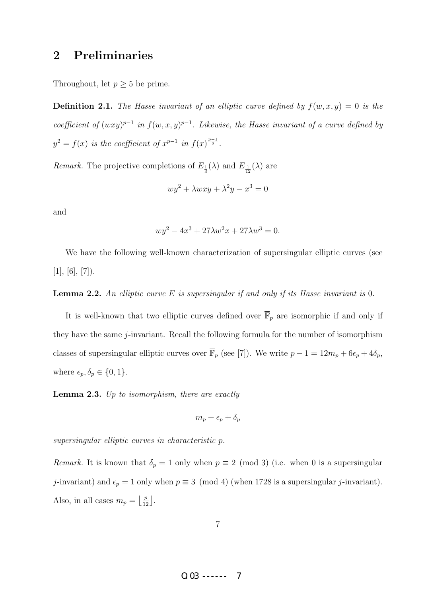# 2 Preliminaries

Throughout, let  $p \geq 5$  be prime.

**Definition 2.1.** The Hasse invariant of an elliptic curve defined by  $f(w, x, y) = 0$  is the coefficient of  $(wxy)^{p-1}$  in  $f(w, x, y)^{p-1}$ . Likewise, the Hasse invariant of a curve defined by  $y^2 = f(x)$  is the coefficient of  $x^{p-1}$  in  $f(x)^{\frac{p-1}{2}}$ .

*Remark*. The projective completions of  $E_{\frac{1}{3}}(\lambda)$  and  $E_{\frac{1}{12}}(\lambda)$  are

$$
wy^2 + \lambda wxy + \lambda^2 y - x^3 = 0
$$

and

$$
wy^{2} - 4x^{3} + 27\lambda w^{2}x + 27\lambda w^{3} = 0.
$$

We have the following well-known characterization of supersingular elliptic curves (see  $[1], [6], [7].$ 

#### **Lemma 2.2.** An elliptic curve  $E$  is supersingular if and only if its Hasse invariant is 0.

It is well-known that two elliptic curves defined over  $\overline{\mathbb{F}}_p$  are isomorphic if and only if they have the same j-invariant. Recall the following formula for the number of isomorphism classes of supersingular elliptic curves over  $\overline{\mathbb{F}}_p$  (see [7]). We write  $p - 1 = 12m_p + 6\epsilon_p + 4\delta_p$ , where  $\epsilon_p, \delta_p \in \{0, 1\}.$ 

**Lemma 2.3.** Up to isomorphism, there are exactly

$$
m_p+\epsilon_p+\delta_p
$$

supersingular elliptic curves in characteristic p.

Remark. It is known that  $\delta_p = 1$  only when  $p \equiv 2 \pmod{3}$  (i.e. when 0 is a supersingular j-invariant) and  $\epsilon_p = 1$  only when  $p \equiv 3 \pmod{4}$  (when 1728 is a supersingular j-invariant). Also, in all cases  $m_p = \left\lfloor \frac{p}{12} \right\rfloor$ .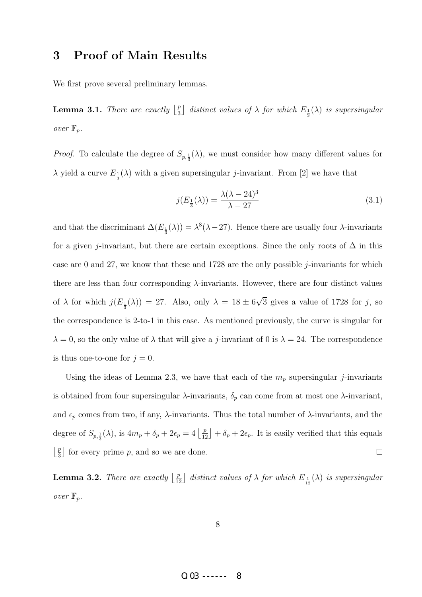# 3 Proof of Main Results

We first prove several preliminary lemmas.

**Lemma 3.1.** There are exactly  $\frac{p}{3}$  $\frac{p}{3}$  distinct values of  $\lambda$  for which  $E_{\frac{1}{3}}(\lambda)$  is supersingular over  $\overline{\mathbb{F}}_p$ .

*Proof.* To calculate the degree of  $S_{p, \frac{1}{3}}(\lambda)$ , we must consider how many different values for  $\lambda$  yield a curve  $E_{\frac{1}{3}}(\lambda)$  with a given supersingular *j*-invariant. From [2] we have that

$$
j(E_{\frac{1}{3}}(\lambda)) = \frac{\lambda(\lambda - 24)^3}{\lambda - 27}
$$
\n
$$
(3.1)
$$

and that the discriminant  $\Delta(E_{\frac{1}{3}}(\lambda)) = \lambda^8(\lambda - 27)$ . Hence there are usually four  $\lambda$ -invariants for a given j-invariant, but there are certain exceptions. Since the only roots of  $\Delta$  in this case are 0 and 27, we know that these and 1728 are the only possible  $i$ -invariants for which there are less than four corresponding  $\lambda$ -invariants. However, there are four distinct values of  $\lambda$  for which  $j(E_{\frac{1}{3}}(\lambda)) = 27$ . Also, only  $\lambda = 18 \pm 6$ √ 3 gives a value of  $1728$  for j, so the correspondence is 2-to-1 in this case. As mentioned previously, the curve is singular for  $\lambda = 0$ , so the only value of  $\lambda$  that will give a *j*-invariant of 0 is  $\lambda = 24$ . The correspondence is thus one-to-one for  $j = 0$ .

Using the ideas of Lemma 2.3, we have that each of the  $m_p$  supersingular j-invariants is obtained from four supersingular  $\lambda$ -invariants,  $\delta_p$  can come from at most one  $\lambda$ -invariant, and  $\epsilon_p$  comes from two, if any,  $\lambda$ -invariants. Thus the total number of  $\lambda$ -invariants, and the degree of  $S_{p,\frac{1}{3}}(\lambda)$ , is  $4m_p + \delta_p + 2\epsilon_p = 4\left\lfloor \frac{p}{12} \right\rfloor + \delta_p + 2\epsilon_p$ . It is easily verified that this equals  $\frac{p}{2}$  $\frac{p}{3}$  for every prime p, and so we are done.  $\Box$ 

**Lemma 3.2.** There are exactly  $\lfloor \frac{p}{12} \rfloor$  distinct values of  $\lambda$  for which  $E_{\frac{1}{12}}(\lambda)$  is supersingular over  $\overline{\mathbb{F}}_p$ .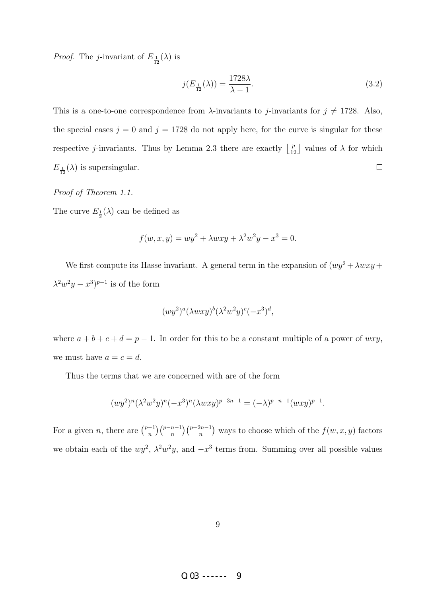*Proof.* The *j*-invariant of  $E_{\frac{1}{12}}(\lambda)$  is

$$
j(E_{\frac{1}{12}}(\lambda)) = \frac{1728\lambda}{\lambda - 1}.\tag{3.2}
$$

This is a one-to-one correspondence from  $\lambda$ -invariants to *j*-invariants for  $j \neq 1728$ . Also, the special cases  $j = 0$  and  $j = 1728$  do not apply here, for the curve is singular for these respective *j*-invariants. Thus by Lemma 2.3 there are exactly  $\left\lfloor \frac{p}{12} \right\rfloor$  values of  $\lambda$  for which  $E_{\frac{1}{12}}(\lambda)$  is supersingular.  $\Box$ 

Proof of Theorem 1.1.

The curve  $E_{\frac{1}{3}}(\lambda)$  can be defined as

$$
f(w, x, y) = wy^{2} + \lambda wxy + \lambda^{2}w^{2}y - x^{3} = 0.
$$

We first compute its Hasse invariant. A general term in the expansion of  $(wy^2 + \lambda wxy +$  $\lambda^2 w^2 y - x^3)^{p-1}$  is of the form

$$
(wy^2)^a(\lambda wxy)^b(\lambda^2w^2y)^c(-x^3)^d,
$$

where  $a + b + c + d = p - 1$ . In order for this to be a constant multiple of a power of  $wxy$ , we must have  $a = c = d$ .

Thus the terms that we are concerned with are of the form

$$
(wy^2)^n(\lambda^2 w^2 y)^n(-x^3)^n(\lambda wxy)^{p-3n-1} = (-\lambda)^{p-n-1}(wxy)^{p-1}.
$$

For a given *n*, there are  $\binom{p-1}{n}$  $\binom{-1}{n}\binom{p-n-1}{n}$  ( $\binom{p-2n-1}{n}$ ) ways to choose which of the  $f(w, x, y)$  factors we obtain each of the  $wy^2$ ,  $\lambda^2 w^2 y$ , and  $-x^3$  terms from. Summing over all possible values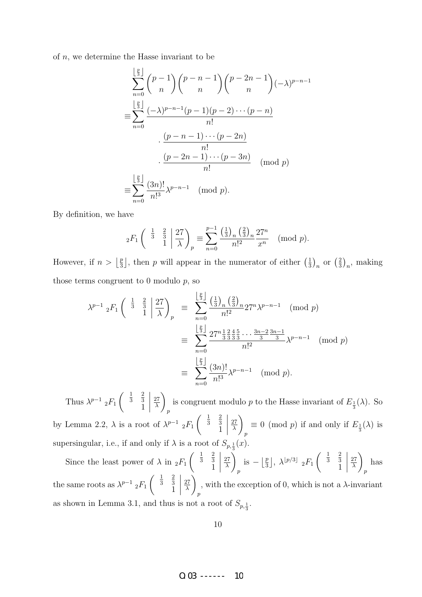of  $n$ , we determine the Hasse invariant to be

$$
\sum_{n=0}^{\lfloor \frac{p}{3} \rfloor} {p-1 \choose n} {p-n-1 \choose n} {p-2n-1 \choose n} (-\lambda)^{p-n-1}
$$

$$
\equiv \sum_{n=0}^{\lfloor \frac{p}{3} \rfloor} \frac{(-\lambda)^{p-n-1}(p-1)(p-2)\cdots(p-n)}{n!}
$$

$$
\cdot \frac{(p-n-1)\cdots(p-2n)}{n!}
$$

$$
\equiv \sum_{n=0}^{\lfloor \frac{p}{3} \rfloor} \frac{(3n)!}{n!} \lambda^{p-n-1} \pmod{p}
$$

$$
\equiv \sum_{n=0}^{\lfloor \frac{p}{3} \rfloor} \frac{(3n)!}{n!} \lambda^{p-n-1} \pmod{p}.
$$

By definition, we have

$$
_2F_1\left(\begin{array}{cc} \frac{1}{3} & \frac{2}{3} \\ 1 & 1 \end{array}\middle| \frac{27}{\lambda}\right)_p \equiv \sum_{n=0}^{p-1} \frac{\left(\frac{1}{3}\right)_n \left(\frac{2}{3}\right)_n}{n!^2} \frac{27^n}{x^n} \pmod{p}.
$$

However, if  $n > \left\lfloor \frac{p}{3} \right\rfloor$  $\frac{p}{3}$ , then p will appear in the numerator of either  $\left(\frac{1}{3}\right)$  $\frac{1}{3}\big)_n$  or  $\left(\frac{2}{3}\right)$  $\frac{2}{3}\big)_n$ , making those terms congruent to  $0$  modulo  $p$ , so

$$
\lambda^{p-1} {}_{2}F_{1} \left( \begin{array}{c} \frac{1}{3} & \frac{2}{3} \\ 1 & 1 \end{array} \middle| \frac{27}{\lambda} \right)_{p} \equiv \sum_{n=0}^{\lfloor \frac{p}{3} \rfloor} \frac{\left(\frac{1}{3}\right)_{n} \left(\frac{2}{3}\right)_{n}}{n!^{2}} 27^{n} \lambda^{p-n-1} \pmod{p}
$$

$$
\equiv \sum_{n=0}^{\lfloor \frac{p}{3} \rfloor} \frac{27^{n} \frac{1}{3} \frac{2}{3} \frac{4}{3} \frac{5}{3} \cdots \frac{3n-2}{3} \frac{3n-1}{3}}{n!^{2}} \lambda^{p-n-1} \pmod{p}
$$

$$
\equiv \sum_{n=0}^{\lfloor \frac{p}{3} \rfloor} \frac{(3n)!}{n!^{3}} \lambda^{p-n-1} \pmod{p}.
$$

Thus  $\lambda^{p-1}$  <sub>2</sub> $F_1$  $\begin{pmatrix} \frac{1}{3} \end{pmatrix}$ 2 3 1 27 λ  $\setminus$ p is congruent modulo p to the Hasse invariant of  $E_{\frac{1}{3}}(\lambda)$ . So by Lemma 2.2,  $\lambda$  is a root of  $\lambda^{p-1}$  <sub>2</sub> $F_1$  $\begin{pmatrix} 1 \\ 3 \end{pmatrix}$ 2 3 1 27 λ  $\setminus$ p  $\equiv 0 \pmod{p}$  if and only if  $E_{\frac{1}{3}}(\lambda)$  is supersingular, i.e., if and only if  $\lambda$  is a root of  $S_{p,\frac{1}{3}}(x)$ .

Since the least power of  $\lambda$  in  ${}_2F_1$  $\begin{pmatrix} \frac{1}{3} \end{pmatrix}$ 2 3 1 27 λ  $\setminus$ p is  $-\left\lfloor \frac{p}{3} \right\rfloor$  $\frac{p}{3}$ ,  $\lambda^{\lfloor p/3 \rfloor}$   $_2F_1$  $\begin{pmatrix} 1 \\ 3 \end{pmatrix}$ 2 3 1  $\begin{array}{c} \hline \end{array}$ 27 λ  $\setminus$  $\overline{p}$ has the same roots as  $\lambda^{p-1}$  <sub>2</sub> $F_1$  $\left(\begin{array}{c}1\\3\end{array}\right)$ 2 3 1 27 λ  $\setminus$ p , with the exception of 0, which is not a  $\lambda$ -invariant as shown in Lemma 3.1, and thus is not a root of  $S_{p,\frac{1}{3}}$ .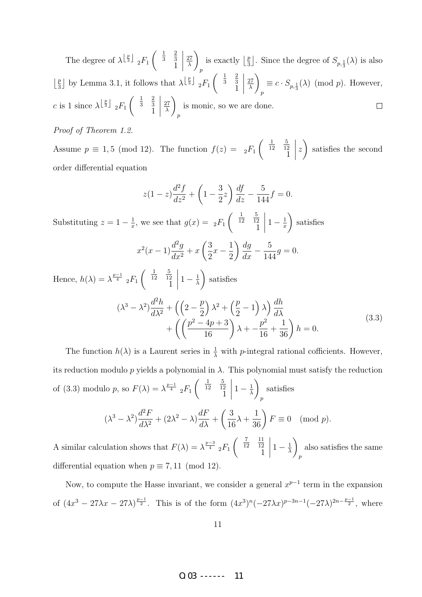$\left(\begin{array}{c}1\\3\end{array}\right)$ 2  $\begin{array}{c} \begin{array}{c} \begin{array}{c} \begin{array}{c} \end{array}\\ \begin{array}{c} \end{array} \end{array} \end{array} \end{array}$  $\setminus$ The degree of  $\lambda^{\lfloor \frac{p}{3} \rfloor}$   $_2F_1$ is exactly  $\frac{p}{3}$  $\overline{27}$  $\frac{p}{3}$ . Since the degree of  $S_{p,\frac{1}{3}}(\lambda)$  is also 3 1 λ p  $\left(\begin{array}{c}1\\3\end{array}\right)$ 2  $\setminus$  $\frac{p}{3}$  by Lemma 3.1, it follows that  $\lambda^{\left\lfloor \frac{p}{3} \right\rfloor}$   $_2F_1$  $\frac{p}{2}$ 27 3 1  $\equiv c \cdot S_{p,\frac{1}{3}}(\lambda) \pmod{p}$ . However, λ p  $\left(\begin{array}{c}1\\3\end{array}\right)$ 2  $\setminus$ c is 1 since  $\lambda^{\left\lfloor \frac{p}{3} \right\rfloor}$   $_2F_1$ 27 3 1 is monic, so we are done.  $\Box$ λ p

#### Proof of Theorem 1.2.

Assume  $p \equiv 1, 5 \pmod{12}$ . The function  $f(z) = {}_2F_1$  $\left( \begin{array}{c} 1 \\ 12 \end{array} \right)$ 5 12 1  $\begin{array}{c} \begin{array}{c} \begin{array}{c} \end{array} \\ \begin{array}{c} \end{array} \end{array} \end{array}$ z  $\setminus$ satisfies the second order differential equation

$$
z(1-z)\frac{d^2f}{dz^2} + \left(1 - \frac{3}{2}z\right)\frac{df}{dz} - \frac{5}{144}f = 0.
$$

Substituting  $z = 1 - \frac{1}{x}$  $\frac{1}{x}$ , we see that  $g(x) = 2F_1$  $\begin{pmatrix} \frac{1}{12} \end{pmatrix}$ 5 12 1  $\begin{array}{c} \begin{array}{c} \begin{array}{c} \end{array} \\ \begin{array}{c} \end{array} \end{array} \end{array}$  $1-\frac{1}{x}$ x  $\setminus$ satisfies

$$
x^{2}(x-1)\frac{d^{2}g}{dx^{2}} + x\left(\frac{3}{2}x - \frac{1}{2}\right)\frac{dg}{dx} - \frac{5}{144}g = 0.
$$

Hence,  $h(\lambda) = \lambda^{\frac{p-1}{4}} 2F_1$  $\left( \begin{array}{c} 1 \\ 12 \end{array} \right)$ 5 12 1  $\begin{array}{c} \begin{array}{c} \begin{array}{c} \end{array} \\ \begin{array}{c} \end{array} \end{array} \end{array}$  $1-\frac{1}{\lambda}$ λ  $\setminus$ satisfies  $(\lambda^3 - \lambda^2)$  $d^2h$  $rac{d^2h}{d\lambda^2} + \left(\left(2-\frac{p}{2}\right)$ 2  $\lambda^2 + \left(\frac{p}{2}\right)$ 2  $-1\left(\lambda\right)\frac{dh}{dt}$  $d\lambda$  $+$  $\left(\left(\frac{p^2-4p+3}{16}\right)\right)$  $\lambda + -\frac{p^2}{16}$ 16  $+$  $\frac{1}{36}$  $h = 0.$ (3.3)

The function  $h(\lambda)$  is a Laurent series in  $\frac{1}{\lambda}$  with *p*-integral rational cofficients. However, its reduction modulo p yields a polynomial in  $\lambda$ . This polynomial must satisfy the reduction of (3.3) modulo p, so  $F(\lambda) = \lambda^{\frac{p-1}{4}} 2F_1$  $\begin{pmatrix} \frac{1}{12} \end{pmatrix}$ 5 12 1  $\begin{array}{c} \begin{array}{c} \begin{array}{c} \end{array} \\ \begin{array}{c} \end{array} \end{array} \end{array}$  $1-\frac{1}{\lambda}$ λ  $\setminus$ p satisfies

$$
(\lambda^3 - \lambda^2) \frac{d^2 F}{d\lambda^2} + (2\lambda^2 - \lambda) \frac{dF}{d\lambda} + \left(\frac{3}{16}\lambda + \frac{1}{36}\right) F \equiv 0 \pmod{p}.
$$

A similar calculation shows that  $F(\lambda) = \lambda^{\frac{p-3}{4}} {}_2F_1$  $\begin{pmatrix} \frac{7}{12} \end{pmatrix}$ 11 12 1  $\begin{array}{c} \begin{array}{c} \begin{array}{c} \end{array} \\ \begin{array}{c} \end{array} \end{array} \end{array}$  $1-\frac{1}{\lambda}$ λ  $\setminus$ p also satisfies the same differential equation when  $p \equiv 7,11 \pmod{12}$ .

Now, to compute the Hasse invariant, we consider a general  $x^{p-1}$  term in the expansion of  $(4x^3 - 27\lambda x - 27\lambda)^{\frac{p-1}{2}}$ . This is of the form  $(4x^3)^n(-27\lambda x)^{p-3n-1}(-27\lambda)^{2n-\frac{p-1}{2}}$ , where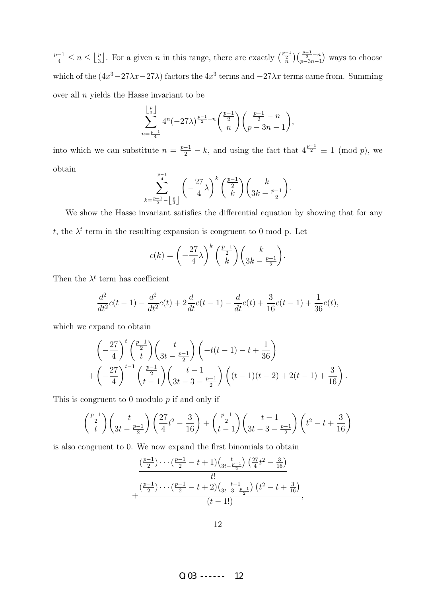$\frac{p-1}{4} \leq n \leq \left\lfloor \frac{p}{3} \right\rfloor$  $\frac{p}{3}$ . For a given *n* in this range, there are exactly  $\binom{\frac{p-1}{2}}{n}\binom{\frac{p-1}{2}-n}{p-3n-1}$  ways to choose which of the  $(4x^3 - 27\lambda x - 27\lambda)$  factors the  $4x^3$  terms and  $-27\lambda x$  terms came from. Summing over all  $n$  yields the Hasse invariant to be

$$
\sum_{n=\frac{p-1}{4}}^{\left\lfloor \frac{p}{3} \right\rfloor} 4^n (-27\lambda)^{\frac{p-1}{2}-n} {\binom{\frac{p-1}{2}}{n}} {\binom{\frac{p-1}{2}-n}{p-3n-1}},
$$

into which we can substitute  $n = \frac{p-1}{2} - k$ , and using the fact that  $4^{\frac{p-1}{2}} \equiv 1 \pmod{p}$ , we obtain  $p-1$ 

$$
\sum_{k=\frac{p-1}{2}-\left\lfloor\frac{p}{3}\right\rfloor}^{\frac{p-1}{4}}\left(-\frac{27}{4}\lambda\right)^k\binom{\frac{p-1}{2}}{k}\binom{k}{3k-\frac{p-1}{2}}.
$$

We show the Hasse invariant satisfies the differential equation by showing that for any t, the  $\lambda^t$  term in the resulting expansion is congruent to 0 mod p. Let

$$
c(k) = \left(-\frac{27}{4}\lambda\right)^k \binom{\frac{p-1}{2}}{k} \binom{k}{3k - \frac{p-1}{2}}.
$$

Then the  $\lambda^t$  term has coefficient

$$
\frac{d^2}{dt^2}c(t-1) - \frac{d^2}{dt^2}c(t) + 2\frac{d}{dt}c(t-1) - \frac{d}{dt}c(t) + \frac{3}{16}c(t-1) + \frac{1}{36}c(t),
$$

which we expand to obtain

$$
\left(-\frac{27}{4}\right)^t \binom{\frac{p-1}{2}}{t} \binom{t}{3t - \frac{p-1}{2}} \left(-t(t-1) - t + \frac{1}{36}\right) + \left(-\frac{27}{4}\right)^{t-1} \binom{\frac{p-1}{2}}{t-1} \binom{t-1}{3t-3 - \frac{p-1}{2}} \left((t-1)(t-2) + 2(t-1) + \frac{3}{16}\right).
$$

This is congruent to 0 modulo  $p$  if and only if

$$
\binom{\frac{p-1}{2}}{t}\binom{t}{3t-\frac{p-1}{2}}\left(\frac{27}{4}t^2-\frac{3}{16}\right)+\binom{\frac{p-1}{2}}{t-1}\left(\frac{t-1}{3t-3-\frac{p-1}{2}}\right)\left(t^2-t+\frac{3}{16}\right)
$$

is also congruent to 0. We now expand the first binomials to obtain

$$
+\frac{\left(\frac{p-1}{2}\right)\cdots\left(\frac{p-1}{2}-t+1\right)\left(\frac{t}{3t-\frac{p-1}{2}}\right)\left(\frac{27}{4}t^2-\frac{3}{16}\right)}{t!}\n+\frac{\left(\frac{p-1}{2}\right)\cdots\left(\frac{p-1}{2}-t+2\right)\left(\frac{t-1}{3t-3-\frac{p-1}{2}}\right)\left(t^2-t+\frac{3}{16}\right)}{(t-1!)},
$$

O.03 ------ 12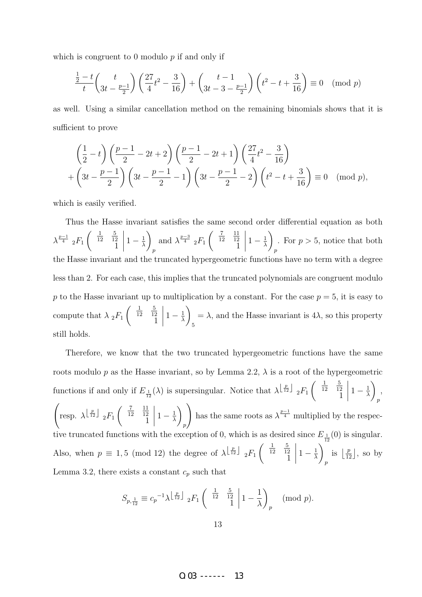which is congruent to 0 modulo  $p$  if and only if

$$
\frac{\frac{1}{2} - t}{t} \binom{t}{3t - \frac{p-1}{2}} \left( \frac{27}{4}t^2 - \frac{3}{16} \right) + \binom{t-1}{3t-3 - \frac{p-1}{2}} \left( t^2 - t + \frac{3}{16} \right) \equiv 0 \pmod{p}
$$

as well. Using a similar cancellation method on the remaining binomials shows that it is sufficient to prove

$$
\left(\frac{1}{2} - t\right) \left(\frac{p-1}{2} - 2t + 2\right) \left(\frac{p-1}{2} - 2t + 1\right) \left(\frac{27}{4}t^2 - \frac{3}{16}\right) + \left(3t - \frac{p-1}{2}\right) \left(3t - \frac{p-1}{2} - 1\right) \left(3t - \frac{p-1}{2} - 2\right) \left(t^2 - t + \frac{3}{16}\right) \equiv 0 \pmod{p},
$$

which is easily verified.

Thus the Hasse invariant satisfies the same second order differential equation as both  $\lambda^{\frac{p-1}{4}}$  2 $F_1$  $\begin{pmatrix} \frac{1}{12} \end{pmatrix}$ 5 12 1  $\begin{array}{c} \begin{array}{c} \begin{array}{c} \end{array} \\ \begin{array}{c} \end{array} \end{array} \end{array}$  $1-\frac{1}{\lambda}$ λ  $\setminus$ p and  $\lambda^{\frac{p-3}{4}}$  <sub>2</sub> $F_1$  $\begin{pmatrix} \frac{7}{12} \end{pmatrix}$ 11 12 1  $1-\frac{1}{\lambda}$ λ  $\setminus$ p . For  $p > 5$ , notice that both the Hasse invariant and the truncated hypergeometric functions have no term with a degree less than 2. For each case, this implies that the truncated polynomials are congruent modulo p to the Hasse invariant up to multiplication by a constant. For the case  $p = 5$ , it is easy to compute that  $\lambda_2 F_1$  $\begin{pmatrix} \frac{1}{12} \end{pmatrix}$ 5 12 1  $1-\frac{1}{\lambda}$ λ  $\setminus$ 5  $= \lambda$ , and the Hasse invariant is 4 $\lambda$ , so this property still holds.

Therefore, we know that the two truncated hypergeometric functions have the same roots modulo p as the Hasse invariant, so by Lemma 2.2,  $\lambda$  is a root of the hypergeometric functions if and only if  $E_{\frac{1}{12}}(\lambda)$  is supersingular. Notice that  $\lambda^{\lfloor \frac{p}{12} \rfloor}$   $_2F_1$  $\begin{pmatrix} \frac{1}{12} \end{pmatrix}$ 5 12 1  $1-\frac{1}{\lambda}$ λ  $\setminus$ p ,  $\sqrt{ }$ resp.  $\lambda^{\left\lfloor \frac{p}{12} \right\rfloor}$   $_2F_1$  $\begin{pmatrix} \frac{7}{12} \end{pmatrix}$ 11 12 1  $1-\frac{1}{\lambda}$ λ  $\setminus$ p  $\setminus$ has the same roots as  $\lambda^{\frac{p-1}{4}}$  multiplied by the respective truncated functions with the exception of 0, which is as desired since  $E_{\frac{1}{12}}(0)$  is singular. Also, when  $p \equiv 1, 5 \pmod{12}$  the degree of  $\lambda^{\left\lfloor \frac{p}{12} \right\rfloor}$   $_2F_1$  $\left( \begin{array}{c} 1 \\ 12 \end{array} \right)$ 5 12 1  $\begin{array}{c} \hline \end{array}$  $1-\frac{1}{\lambda}$ λ  $\setminus$ p is  $\left\lfloor \frac{p}{12} \right\rfloor$ , so by Lemma 3.2, there exists a constant  $c_p$  such that

$$
S_{p,\frac{1}{12}} \equiv c_p^{-1} \lambda^{\left\lfloor \frac{p}{12} \right\rfloor} \, _2F_1 \left( \begin{array}{cc} \frac{1}{12} & \frac{5}{12} \\ 1 & 1 \end{array} \middle| 1 - \frac{1}{\lambda} \right)_p \pmod{p}.
$$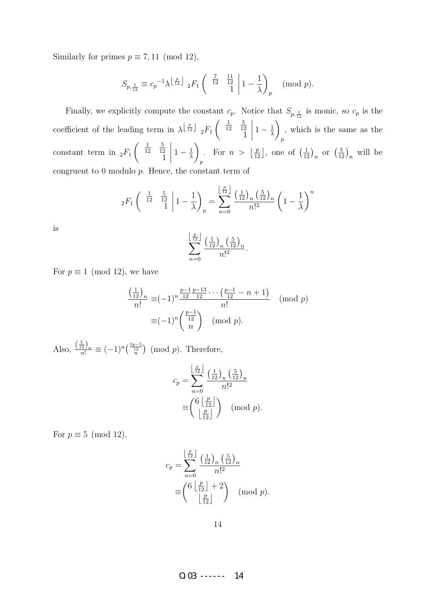Similarly for primes  $p \equiv 7, 11 \pmod{12}$ ,

$$
S_{p,\frac{1}{12}} \equiv c_p^{-1} \lambda^{\left\lfloor \frac{p}{12} \right\rfloor} \, _2F_1 \left( \begin{array}{cc} \frac{7}{12} & \frac{11}{12} \\ 1 & 1 \end{array} \middle| 1 - \frac{1}{\lambda} \right)_p \pmod{p}.
$$

Finally, we explicitly compute the constant  $c_p$ . Notice that  $S_{p, \frac{1}{12}}$  is monic, so  $c_p$  is the coefficient of the leading term in  $\lambda^{\left\lfloor \frac{p}{12}\right\rfloor}$   $_2F_1$  $\begin{pmatrix} \frac{1}{12} \end{pmatrix}$ 5 12 1  $\begin{array}{c} \begin{array}{c} \begin{array}{c} \end{array} \\ \begin{array}{c} \end{array} \end{array} \end{array}$  $1-\frac{1}{\lambda}$ λ  $\setminus$ p , which is the same as the constant term in  $_2F_1$  $\begin{pmatrix} \frac{1}{12} \end{pmatrix}$ 5 12 1  $\begin{array}{c} \begin{array}{c} \begin{array}{c} \begin{array}{c} \end{array}\\ \begin{array}{c} \end{array} \end{array} \end{array} \end{array}$  $1-\frac{1}{\lambda}$ λ  $\setminus$ p For  $n > \left\lfloor \frac{p}{12} \right\rfloor$ , one of  $\left(\frac{1}{12}\right)_n$  or  $\left(\frac{5}{12}\right)_n$  will be congruent to  $0$  modulo  $p$ . Hence, the constant term of

$$
{}_2F_1\left( \begin{array}{cc} \frac{1}{12} & \frac{5}{12} \\ 1 & 1 \end{array} \middle| 1 - \frac{1}{\lambda} \right)_p = \sum_{n=0}^{\left\lfloor \frac{p}{12} \right\rfloor} \frac{\left(\frac{1}{12}\right)_n \left(\frac{5}{12}\right)_n}{n!^2} \left( 1 - \frac{1}{\lambda} \right)^n
$$

is

$$
\sum_{n=0}^{\left\lfloor \frac{p}{12} \right\rfloor} \frac{\left(\frac{1}{12}\right)_n \left(\frac{5}{12}\right)_n}{n!^2}
$$

.

For  $p \equiv 1 \pmod{12}$ , we have

$$
\frac{\left(\frac{1}{12}\right)_n}{n!} \equiv (-1)^n \frac{\frac{p-1}{12} \frac{p-13}{12} \cdots \left(\frac{p-1}{12} - n + 1\right)}{n!} \pmod{p}
$$

$$
\equiv (-1)^n \left(\frac{\frac{p-1}{12}}{n}\right) \pmod{p}.
$$

Also,  $\frac{\left(\frac{5}{12}\right)_n}{n!} \equiv (-1)^n \left(\frac{\frac{5p-5}{12}}{n}\right) \pmod{p}$ . Therefore,

$$
c_p = \sum_{n=0}^{\left\lfloor \frac{p}{12} \right\rfloor} \frac{\left(\frac{1}{12}\right)_n \left(\frac{5}{12}\right)_n}{n!^2}
$$

$$
\equiv \begin{pmatrix} 6 & \frac{p}{12} \\ \frac{p}{12} \end{pmatrix} \pmod{p}.
$$

For  $p \equiv 5 \pmod{12}$ ,

$$
c_p = \sum_{n=0}^{\left\lfloor \frac{p}{12} \right\rfloor} \frac{\left(\frac{1}{12}\right)_n \left(\frac{5}{12}\right)_n}{n!^2}
$$

$$
\equiv \begin{pmatrix} 6\left\lfloor \frac{p}{12} \right\rfloor + 2\\ \left\lfloor \frac{p}{12} \right\rfloor \end{pmatrix} \pmod{p}.
$$

O.03 ------ 14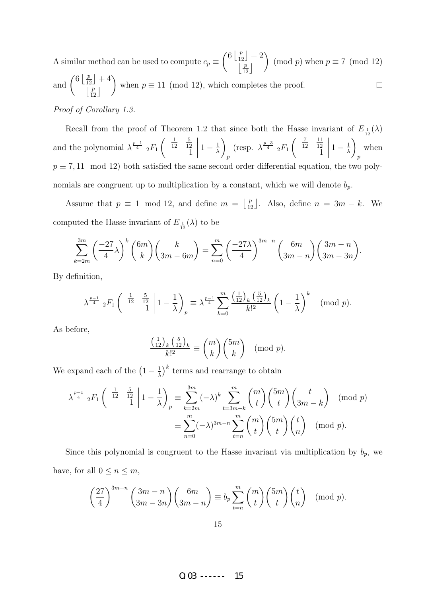$\left(6 \left\lfloor \frac{p}{12} \right\rfloor + 2\right)$  $\setminus$ A similar method can be used to compute  $c_p \equiv$ (mod p) when  $p \equiv 7 \pmod{12}$  $\lfloor \frac{p}{12} \rfloor$ and  $\binom{6\left\lfloor \frac{p}{12} \right\rfloor + 4}{\left\lfloor \frac{p}{12} \right\rfloor}$  $\setminus$  $\Box$ when  $p \equiv 11 \pmod{12}$ , which completes the proof.  $\left\lfloor\frac{p}{12}\right\rfloor$ Proof of Corollary 1.3.

Recall from the proof of Theorem 1.2 that since both the Hasse invariant of  $E_{\frac{1}{12}}(\lambda)$ and the polynomial  $\lambda^{\frac{p-1}{4}}$  <sub>2</sub> $F_1$  $\begin{pmatrix} \frac{1}{12} \end{pmatrix}$ 5 12 1  $\begin{array}{c} \begin{array}{c} \begin{array}{c} \end{array} \\ \begin{array}{c} \end{array} \end{array} \end{array}$  $1-\frac{1}{\lambda}$ λ  $\setminus$ p (resp.  $\lambda^{\frac{p-3}{4}}$  2 $F_1$  $\begin{pmatrix} \frac{7}{12} \end{pmatrix}$ 11 12 1  $\begin{array}{c} \begin{array}{c} \begin{array}{c} \end{array} \\ \begin{array}{c} \end{array} \end{array} \end{array}$  $1-\frac{1}{\lambda}$ λ  $\setminus$  $\overline{p}$ when  $p \equiv 7,11 \mod 12$ ) both satisfied the same second order differential equation, the two polynomials are congruent up to multiplication by a constant, which we will denote  $b_p$ .

Assume that  $p \equiv 1 \mod 12$ , and define  $m = \lfloor \frac{p}{12} \rfloor$ . Also, define  $n = 3m - k$ . We computed the Hasse invariant of  $E_{\frac{1}{12}}(\lambda)$  to be

$$
\sum_{k=2m}^{3m} \left(\frac{-27}{4}\lambda\right)^k \binom{6m}{k} \binom{k}{3m-6m} = \sum_{n=0}^m \left(\frac{-27\lambda}{4}\right)^{3m-n} \binom{6m}{3m-n} \binom{3m-n}{3m-3n}.
$$

By definition,

$$
\lambda^{\frac{p-1}{4}} {}_{2}F_{1}\left(\begin{array}{cc} \frac{1}{12} & \frac{5}{12} \\ 1 & 1 \end{array} \middle| 1 - \frac{1}{\lambda} \right)_{p} \equiv \lambda^{\frac{p-1}{4}} \sum_{k=0}^{m} \frac{\left(\frac{1}{12}\right)_{k} \left(\frac{5}{12}\right)_{k}}{k!^{2}} \left(1 - \frac{1}{\lambda}\right)^{k} \pmod{p}.
$$

As before,

$$
\frac{\left(\frac{1}{12}\right)_k \left(\frac{5}{12}\right)_k}{k!^2} \equiv \binom{m}{k} \binom{5m}{k} \pmod{p}.
$$

We expand each of the  $\left(1-\frac{1}{\lambda}\right)$  $\frac{1}{\lambda}$ <sup>k</sup> terms and rearrange to obtain

$$
\lambda^{\frac{p-1}{4}} {}_{2}F_{1}\left(\begin{array}{c} \frac{1}{12} & \frac{5}{12} \\ 1 & 1 \end{array} \bigg| 1 - \frac{1}{\lambda} \right)_{p} \equiv \sum_{k=2m}^{3m} (-\lambda)^{k} \sum_{t=3m-k}^{m} {m \choose t} {5m \choose t} {t \choose 3m-k} \pmod{p}
$$

$$
\equiv \sum_{n=0}^{m} (-\lambda)^{3m-n} \sum_{t=n}^{m} {m \choose t} {5m \choose t} {t \choose n} \pmod{p}.
$$
 (mod  $p$ ).

Since this polynomial is congruent to the Hasse invariant via multiplication by  $b_p$ , we have, for all  $0 \leq n \leq m$ ,

$$
\left(\frac{27}{4}\right)^{3m-n} \binom{3m-n}{3m-3n} \binom{6m}{3m-n} \equiv b_p \sum_{t=n}^{m} \binom{m}{t} \binom{5m}{t} \binom{t}{n} \pmod{p}.
$$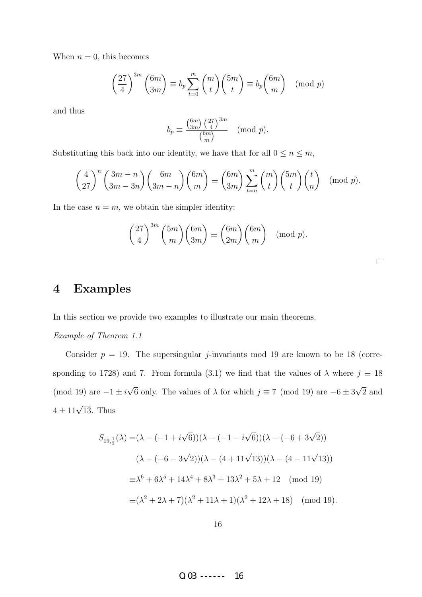When  $n = 0$ , this becomes

$$
\left(\frac{27}{4}\right)^{3m} \binom{6m}{3m} \equiv b_p \sum_{t=0}^{m} \binom{m}{t} \binom{5m}{t} \equiv b_p \binom{6m}{m} \pmod{p}
$$

and thus

$$
b_p \equiv \frac{\binom{6m}{3m} \left(\frac{27}{4}\right)^{3m}}{\binom{6m}{m}} \pmod{p}.
$$

Substituting this back into our identity, we have that for all  $0\leq n\leq m,$ 

$$
\left(\frac{4}{27}\right)^n \binom{3m-n}{3m-3n} \binom{6m}{3m-n} \binom{6m}{m} \equiv \binom{6m}{3m} \sum_{t=n}^m \binom{m}{t} \binom{5m}{t} \binom{t}{n} \pmod{p}.
$$

In the case  $n = m$ , we obtain the simpler identity:

$$
\left(\frac{27}{4}\right)^{3m} {5m \choose m} {6m \choose 3m} \equiv {6m \choose 2m} {6m \choose m} \pmod{p}.
$$

### 4 Examples

In this section we provide two examples to illustrate our main theorems.

#### Example of Theorem 1.1

Consider  $p = 19$ . The supersingular *j*-invariants mod 19 are known to be 18 (corresponding to 1728) and 7. From formula (3.1) we find that the values of  $\lambda$  where  $j \equiv 18$ (mod 19) are  $-1 \pm i$ √ 6 only. The values of  $\lambda$  for which  $j \equiv 7 \pmod{19}$  are  $-6 \pm 3$ √ 2 and  $4 \pm 11\sqrt{13}$ . Thus

$$
S_{19,\frac{1}{3}}(\lambda) = (\lambda - (-1 + i\sqrt{6}))(\lambda - (-1 - i\sqrt{6}))(\lambda - (-6 + 3\sqrt{2}))
$$
  

$$
(\lambda - (-6 - 3\sqrt{2}))(\lambda - (4 + 11\sqrt{13}))(\lambda - (4 - 11\sqrt{13}))
$$
  

$$
\equiv \lambda^6 + 6\lambda^5 + 14\lambda^4 + 8\lambda^3 + 13\lambda^2 + 5\lambda + 12 \pmod{19}
$$
  

$$
\equiv (\lambda^2 + 2\lambda + 7)(\lambda^2 + 11\lambda + 1)(\lambda^2 + 12\lambda + 18) \pmod{19}.
$$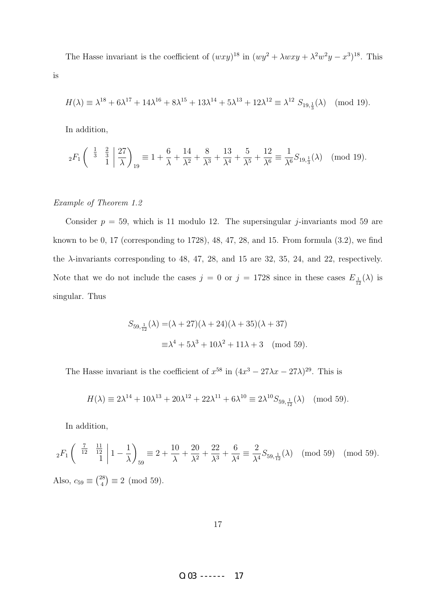The Hasse invariant is the coefficient of  $(wxy)^{18}$  in  $(wy^2 + \lambda wxy + \lambda^2 w^2y - x^3)^{18}$ . This is

$$
H(\lambda) \equiv \lambda^{18} + 6\lambda^{17} + 14\lambda^{16} + 8\lambda^{15} + 13\lambda^{14} + 5\lambda^{13} + 12\lambda^{12} \equiv \lambda^{12} S_{19, \frac{1}{3}}(\lambda) \pmod{19}.
$$

In addition,

$$
{}_2F_1\left(\begin{array}{c} \frac{1}{3} & \frac{2}{3} \\ 1 & 1 \end{array}\bigg| \frac{27}{\lambda}\right)_{19} \equiv 1 + \frac{6}{\lambda} + \frac{14}{\lambda^2} + \frac{8}{\lambda^3} + \frac{13}{\lambda^4} + \frac{5}{\lambda^5} + \frac{12}{\lambda^6} \equiv \frac{1}{\lambda^6} S_{19,\frac{1}{3}}(\lambda) \pmod{19}.
$$

#### Example of Theorem 1.2

Consider  $p = 59$ , which is 11 modulo 12. The supersingular *j*-invariants mod 59 are known to be 0, 17 (corresponding to 1728), 48, 47, 28, and 15. From formula (3.2), we find the  $\lambda$ -invariants corresponding to 48, 47, 28, and 15 are 32, 35, 24, and 22, respectively. Note that we do not include the cases  $j = 0$  or  $j = 1728$  since in these cases  $E_{\frac{1}{12}}(\lambda)$  is singular. Thus

$$
S_{59,\frac{1}{12}}(\lambda) = (\lambda + 27)(\lambda + 24)(\lambda + 35)(\lambda + 37)
$$
  

$$
\equiv \lambda^4 + 5\lambda^3 + 10\lambda^2 + 11\lambda + 3 \pmod{59}.
$$

The Hasse invariant is the coefficient of  $x^{58}$  in  $(4x^3 - 27\lambda x - 27\lambda)^{29}$ . This is

$$
H(\lambda) \equiv 2\lambda^{14} + 10\lambda^{13} + 20\lambda^{12} + 22\lambda^{11} + 6\lambda^{10} \equiv 2\lambda^{10} S_{59, \frac{1}{12}}(\lambda) \pmod{59}.
$$

In addition,

$$
{}_2F_1\left(\begin{array}{cc} \frac{7}{12} & \frac{11}{12} \\ 1 & 1 \end{array} \middle| 1 - \frac{1}{\lambda} \right)_{59} \equiv 2 + \frac{10}{\lambda} + \frac{20}{\lambda^2} + \frac{22}{\lambda^3} + \frac{6}{\lambda^4} \equiv \frac{2}{\lambda^4} S_{59, \frac{1}{12}}(\lambda) \pmod{59} \pmod{59}.
$$
\nAlso,  $c_{59} \equiv \binom{28}{4} \equiv 2 \pmod{59}$ .

17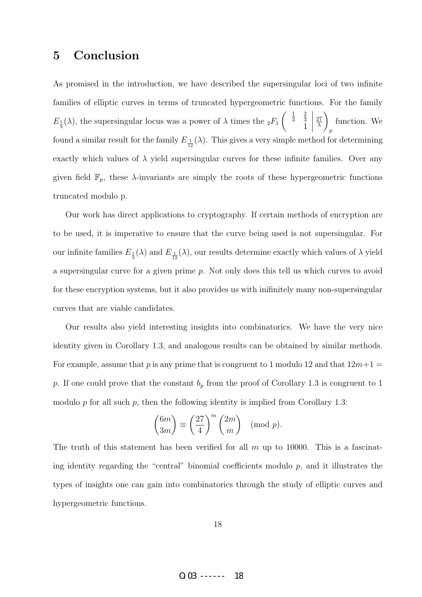# 5 Conclusion

As promised in the introduction, we have described the supersingular loci of two infinite families of elliptic curves in terms of truncated hypergeometric functions. For the family  $E_{\frac{1}{3}}(\lambda)$ , the supersingular locus was a power of  $\lambda$  times the  ${}_2F_1$  $\left(\begin{array}{c}1\\3\end{array}\right)$ 2 3 1 27 λ  $\setminus$ p function. We found a similar result for the family  $E_{\frac{1}{12}}(\lambda)$ . This gives a very simple method for determining exactly which values of  $\lambda$  yield supersingular curves for these infinite families. Over any given field  $\mathbb{F}_p$ , these  $\lambda$ -invariants are simply the roots of these hypergeometric functions truncated modulo p.

Our work has direct applications to cryptography. If certain methods of encryption are to be used, it is imperative to ensure that the curve being used is not supersingular. For our infinite families  $E_{\frac{1}{3}}(\lambda)$  and  $E_{\frac{1}{12}}(\lambda)$ , our results determine exactly which values of  $\lambda$  yield a supersingular curve for a given prime p. Not only does this tell us which curves to avoid for these encryption systems, but it also provides us with inifinitely many non-supersingular curves that are viable candidates.

Our results also yield interesting insights into combinatorics. We have the very nice identity given in Corollary 1.3, and analogous results can be obtained by similar methods. For example, assume that p is any prime that is congruent to 1 modulo 12 and that  $12m+1$ p. If one could prove that the constant  $b_p$  from the proof of Corollary 1.3 is congruent to 1 modulo  $p$  for all such  $p$ , then the following identity is implied from Corollary 1.3:

$$
\binom{6m}{3m} \equiv \left(\frac{27}{4}\right)^m \binom{2m}{m} \pmod{p}.
$$

The truth of this statement has been verified for all  $m$  up to 10000. This is a fascinating identity regarding the "central" binomial coefficients modulo  $p$ , and it illustrates the types of insights one can gain into combinatorics through the study of elliptic curves and hypergeometric functions.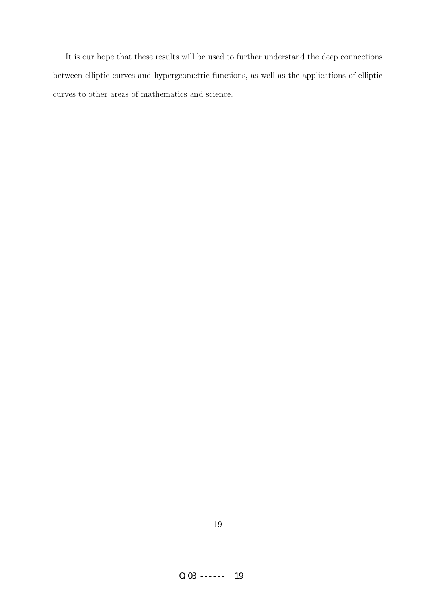It is our hope that these results will be used to further understand the deep connections between elliptic curves and hypergeometric functions, as well as the applications of elliptic curves to other areas of mathematics and science.